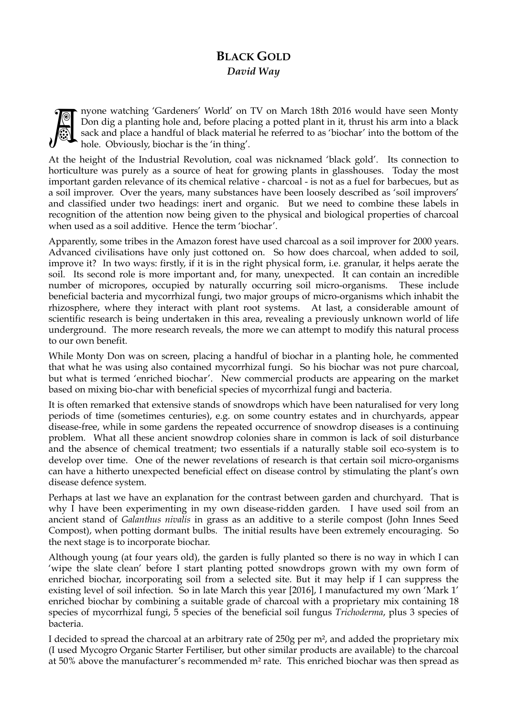## **BLACK GOLD**  *David Way*



nyone watching 'Gardeners' World' on TV on March 18th 2016 would have seen Monty Don dig a planting hole and, before placing a potted plant in it, thrust his arm into a black sack and place a handful of black material he referred to as 'biochar' into the bottom of the hole. Obviously, biochar is the 'in thing'.

At the height of the Industrial Revolution, coal was nicknamed 'black gold'. Its connection to horticulture was purely as a source of heat for growing plants in glasshouses. Today the most important garden relevance of its chemical relative - charcoal - is not as a fuel for barbecues, but as a soil improver. Over the years, many substances have been loosely described as 'soil improvers' and classified under two headings: inert and organic. But we need to combine these labels in recognition of the attention now being given to the physical and biological properties of charcoal when used as a soil additive. Hence the term 'biochar'.

Apparently, some tribes in the Amazon forest have used charcoal as a soil improver for 2000 years. Advanced civilisations have only just cottoned on. So how does charcoal, when added to soil, improve it? In two ways: firstly, if it is in the right physical form, i.e. granular, it helps aerate the soil. Its second role is more important and, for many, unexpected. It can contain an incredible number of micropores, occupied by naturally occurring soil micro-organisms. These include beneficial bacteria and mycorrhizal fungi, two major groups of micro-organisms which inhabit the rhizosphere, where they interact with plant root systems. At last, a considerable amount of scientific research is being undertaken in this area, revealing a previously unknown world of life underground. The more research reveals, the more we can attempt to modify this natural process to our own benefit.

While Monty Don was on screen, placing a handful of biochar in a planting hole, he commented that what he was using also contained mycorrhizal fungi. So his biochar was not pure charcoal, but what is termed 'enriched biochar'. New commercial products are appearing on the market based on mixing bio-char with beneficial species of mycorrhizal fungi and bacteria.

It is often remarked that extensive stands of snowdrops which have been naturalised for very long periods of time (sometimes centuries), e.g. on some country estates and in churchyards, appear disease-free, while in some gardens the repeated occurrence of snowdrop diseases is a continuing problem. What all these ancient snowdrop colonies share in common is lack of soil disturbance and the absence of chemical treatment; two essentials if a naturally stable soil eco-system is to develop over time. One of the newer revelations of research is that certain soil micro-organisms can have a hitherto unexpected beneficial effect on disease control by stimulating the plant's own disease defence system.

Perhaps at last we have an explanation for the contrast between garden and churchyard. That is why I have been experimenting in my own disease-ridden garden. I have used soil from an ancient stand of *Galanthus nivalis* in grass as an additive to a sterile compost (John Innes Seed Compost), when potting dormant bulbs. The initial results have been extremely encouraging. So the next stage is to incorporate biochar.

Although young (at four years old), the garden is fully planted so there is no way in which I can 'wipe the slate clean' before I start planting potted snowdrops grown with my own form of enriched biochar, incorporating soil from a selected site. But it may help if I can suppress the existing level of soil infection. So in late March this year [2016], I manufactured my own 'Mark 1' enriched biochar by combining a suitable grade of charcoal with a proprietary mix containing 18 species of mycorrhizal fungi, 5 species of the beneficial soil fungus *Trichoderma*, plus 3 species of bacteria.

I decided to spread the charcoal at an arbitrary rate of 250g per m², and added the proprietary mix (I used Mycogro Organic Starter Fertiliser, but other similar products are available) to the charcoal at 50% above the manufacturer's recommended m² rate. This enriched biochar was then spread as